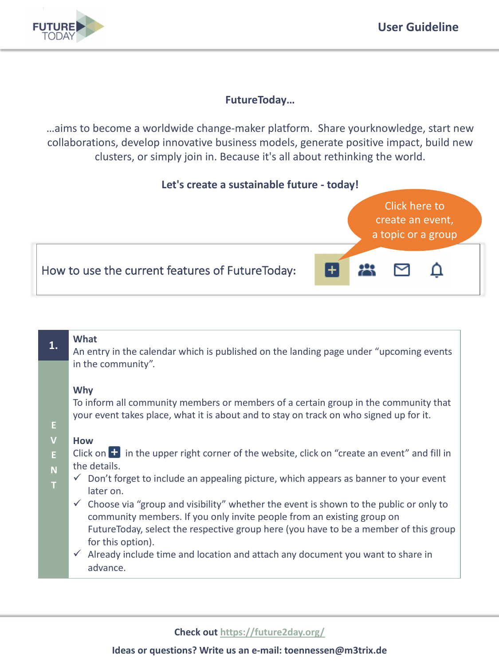

# **FutureToday…**

…aims to become a worldwide change-maker platform. Share yourknowledge, start new collaborations, develop innovative business models, generate positive impact, build new clusters, or simply join in. Because it's all about rethinking the world.





# **What**

An entry in the calendar which is published on the landing page under "upcoming events in the community".

## **Why**

To inform all community members or members of a certain group in the community that your event takes place, what it is about and to stay on track on who signed up for it.

#### **V How**

**E**

**1.**

**E**

**N**

**T**

- Click on  $\mathbf{F}$  in the upper right corner of the website, click on "create an event" and fill in the details.
	- $\checkmark$  Don't forget to include an appealing picture, which appears as banner to your event later on.
	- $\checkmark$  Choose via "group and visibility" whether the event is shown to the public or only to community members. If you only invite people from an existing group on FutureToday, select the respective group here (you have to be a member of this group for this option).
	- $\checkmark$  Already include time and location and attach any document you want to share in advance.

## **Check out<https://future2day.org/>**